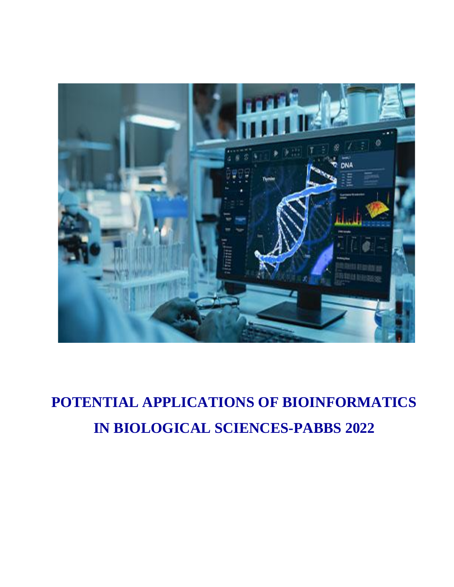

# **POTENTIAL APPLICATIONS OF BIOINFORMATICS IN BIOLOGICAL SCIENCES-PABBS 2022**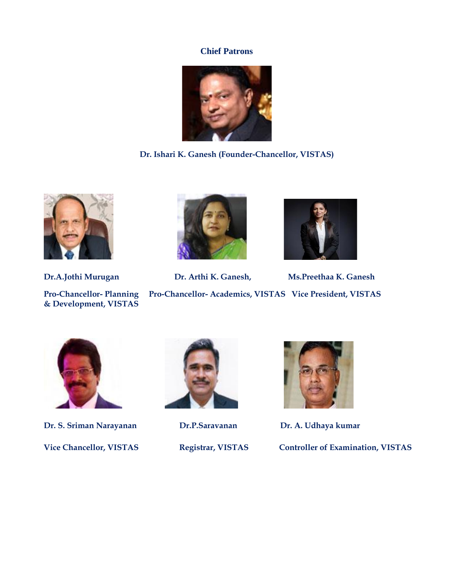### **Chief Patrons**



Dr. Ishari K. Ganesh (Founder-Chancellor, VISTAS)



**& Development, VISTAS**



**Dr.A.Jothi Murugan Dr. Arthi K. Ganesh, Ms.Preethaa K. Ganesh Ms.PreethaaPro-Chancellor- Planning Pro-Chancellor- Academics, VISTAS Vice President, VISTAS Vice Chancellor, VISTAS**<br> **Vice Chancellor, Planning**<br> **Vice Chancellor-** Academics, VISTAS<br> **Pro-Chancellor-** Planning<br> **Pro-Chancellor-** Academics, VISTAS<br> **Pro-Chancellor-** Academics, VISTAS<br> **Pro-Chancellor, VISTAS**<br>



**Dr. S. Sriman Narayanan Dr.P.Saravanan Dr. A. Udhaya kumar**





**Vice Chancellor, VISTAS Registrar, VISTAS Controller of Examination, VISTAS**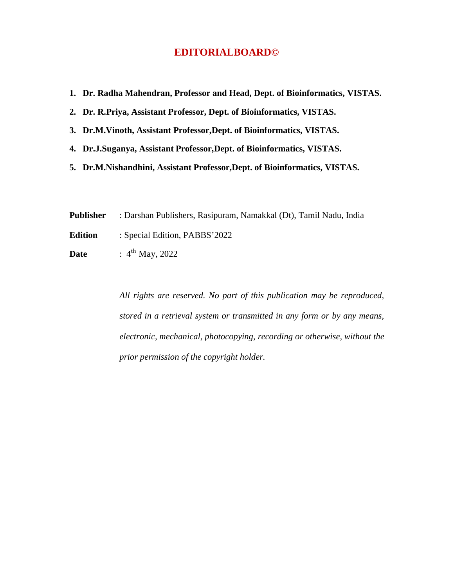## **EDITORIALBOARD©**

|  |  |  |  |  |  | 1. Dr. Radha Mahendran, Professor and Head, Dept. of Bioinformatics, VISTAS. |  |
|--|--|--|--|--|--|------------------------------------------------------------------------------|--|
|--|--|--|--|--|--|------------------------------------------------------------------------------|--|

**2. Dr. R.Priya, Assistant Professor, Dept. of Bioinformatics, VISTAS.**

**3. Dr.M.Vinoth, Assistant Professor,Dept. of Bioinformatics, VISTAS.**

- **4. Dr.J.Suganya, Assistant Professor,Dept. of Bioinformatics, VISTAS.**
- **5. Dr.M.Nishandhini, Assistant Professor,Dept. of Bioinformatics, VISTAS.**

**Publisher** : Darshan Publishers, Rasipuram, Namakkal (Dt), Tamil Nadu, India

**Edition** : Special Edition, PABBS'2022

**Date** : 4<sup>th</sup> May, 2022

*All rights are reserved. No part of this publication may be reproduced, stored in a retrieval system or transmitted in any form or by any means, electronic, mechanical, photocopying, recording or otherwise, without the prior permission of the copyright holder.*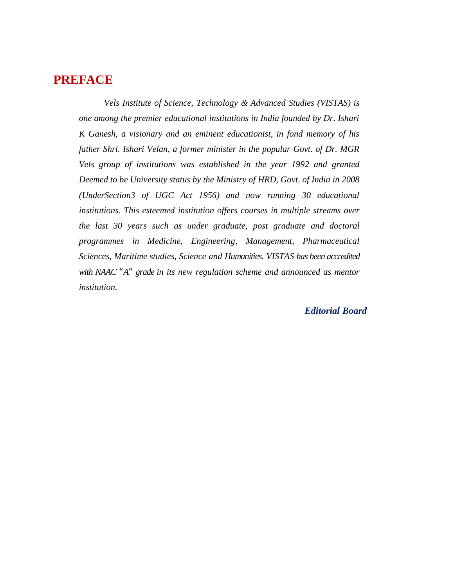# **PREFACE**

*Vels Institute of Science, Technology & Advanced Studies (VISTAS) is one among the premier educational institutions in India founded by Dr. Ishari K Ganesh, a visionary and an eminent educationist, in fond memory of his father Shri. Ishari Velan, a former minister in the popular Govt. of Dr. MGR Vels group of institutions was established in the year 1992 and granted Deemed to be University status by the Ministry of HRD, Govt. of India in 2008 (UnderSection3 of UGC Act 1956) and now running 30 educational institutions. This esteemed institution offers courses in multiple streams over the last 30 years such as under graduate, post graduate and doctoral programmes in Medicine, Engineering, Management, Pharmaceutical Sciences, Maritime studies, Science and Humanities. VISTAS has been accredited with NAAC "A" grade in its new regulation scheme and announced as mentor institution.*

#### *Editorial Board*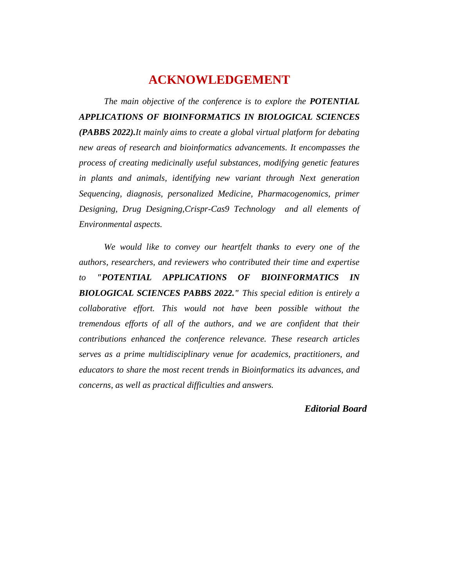## **ACKNOWLEDGEMENT**

*The main objective of the conference is to explore the POTENTIAL APPLICATIONS OF BIOINFORMATICS IN BIOLOGICAL SCIENCES (PABBS 2022).It mainly aims to create a global virtual platform for debating new areas of research and bioinformatics advancements. It encompasses the process of creating medicinally useful substances, modifying genetic features in plants and animals, identifying new variant through Next generation Sequencing, diagnosis, personalized Medicine, Pharmacogenomics, primer Designing, Drug Designing,Crispr-Cas9 Technology and all elements of Environmental aspects.*

*We would like to convey our heartfelt thanks to every one of the authors, researchers, and reviewers who contributed their time and expertise to "POTENTIAL APPLICATIONS OF BIOINFORMATICS IN BIOLOGICAL SCIENCES PABBS 2022." This special edition is entirely a collaborative effort. This would not have been possible without the tremendous efforts of all of the authors, and we are confident that their contributions enhanced the conference relevance. These research articles serves as a prime multidisciplinary venue for academics, practitioners, and educators to share the most recent trends in Bioinformatics its advances, and concerns, as well as practical difficulties and answers.*

*Editorial Board*